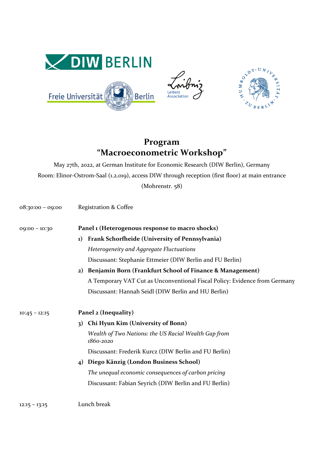

## **Program "Macroeconometric Workshop"**

May 27th, 2022, at German Institute for Economic Research (DIW Berlin), Germany Room: Elinor-Ostrom-Saal (1.2.019), access DIW through reception (first floor) at main entrance (Mohrenstr. 58)

| $08:30:00 - 09:00$ | <b>Registration &amp; Coffee</b>                                           |
|--------------------|----------------------------------------------------------------------------|
| $09:00 - 10:30$    | Panel 1 (Heterogenous response to macro shocks)                            |
|                    | Frank Schorfheide (University of Pennsylvania)<br>1)                       |
|                    | Heterogeneity and Aggregate Fluctuations                                   |
|                    | Discussant: Stephanie Ettmeier (DIW Berlin and FU Berlin)                  |
|                    | Benjamin Born (Frankfurt School of Finance & Management)<br>2)             |
|                    | A Temporary VAT Cut as Unconventional Fiscal Policy: Evidence from Germany |
|                    | Discussant: Hannah Seidl (DIW Berlin and HU Berlin)                        |
| $10:45 - 12:15$    | Panel 2 (Inequality)                                                       |
|                    | Chi Hyun Kim (University of Bonn)<br>3)                                    |
|                    | Wealth of Two Nations: the US Racial Wealth Gap from<br>1860-2020          |
|                    | Discussant: Frederik Kurcz (DIW Berlin and FU Berlin)                      |
|                    | Diego Känzig (London Business School)<br>$\boldsymbol{A}$                  |
|                    | The unequal economic consequences of carbon pricing                        |
|                    | Discussant: Fabian Seyrich (DIW Berlin and FU Berlin)                      |
| $12:15 - 13:15$    | Lunch break                                                                |